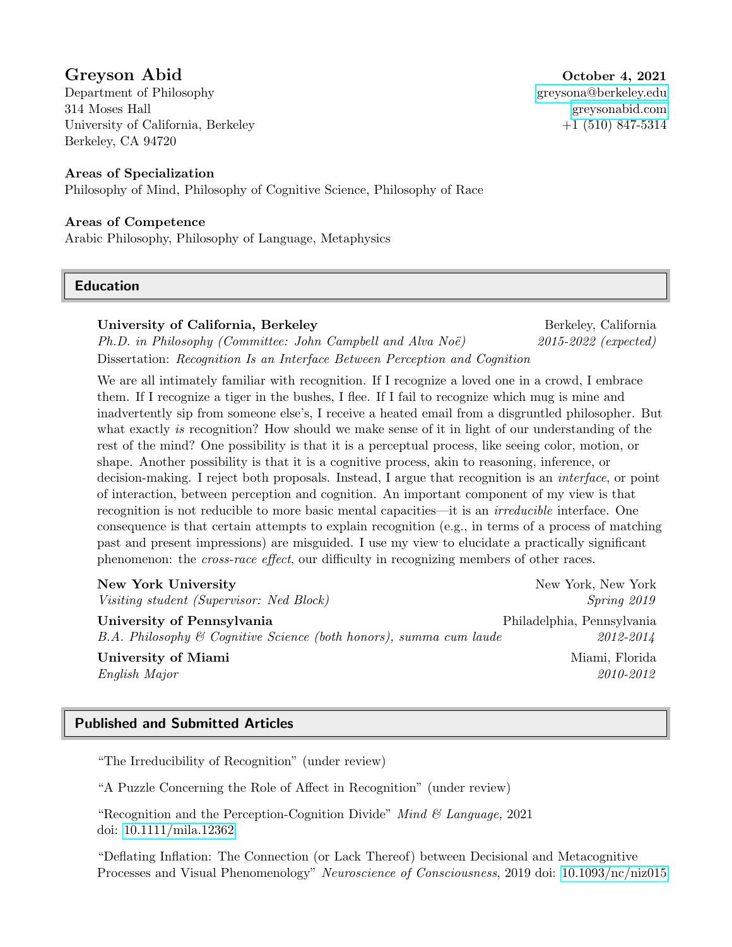# Greyson Abid October 4, 2021

Department of Philosophy [greysona@berkeley.edu](mailto: greysona@berkeley.edu) 314 Moses Hall [greysonabid.com](www.greysonabid.com) University of California, Berkeley  $+1$  (510) 847-5314 Berkeley, CA 94720

### Areas of Specialization

Philosophy of Mind, Philosophy of Cognitive Science, Philosophy of Race

#### Areas of Competence

Arabic Philosophy, Philosophy of Language, Metaphysics

### Education

### University of California, Berkeley **Berkeley** Berkeley, California

 $Ph.D.$  in Philosophy (Committee: John Campbell and Alva Noë) 2015-2022 (expected) Dissertation: Recognition Is an Interface Between Perception and Cognition

We are all intimately familiar with recognition. If I recognize a loved one in a crowd, I embrace them. If I recognize a tiger in the bushes, I flee. If I fail to recognize which mug is mine and inadvertently sip from someone else's, I receive a heated email from a disgruntled philosopher. But what exactly is recognition? How should we make sense of it in light of our understanding of the rest of the mind? One possibility is that it is a perceptual process, like seeing color, motion, or shape. Another possibility is that it is a cognitive process, akin to reasoning, inference, or decision-making. I reject both proposals. Instead, I argue that recognition is an *interface*, or point of interaction, between perception and cognition. An important component of my view is that recognition is not reducible to more basic mental capacities—it is an irreducible interface. One consequence is that certain attempts to explain recognition (e.g., in terms of a process of matching past and present impressions) are misguided. I use my view to elucidate a practically significant phenomenon: the cross-race effect, our difficulty in recognizing members of other races.

| <b>New York University</b>                                           | New York, New York         |
|----------------------------------------------------------------------|----------------------------|
| Visiting student (Supervisor: Ned Block)                             | Spring 2019                |
| University of Pennsylvania                                           | Philadelphia, Pennsylvania |
| $B.A.$ Philosophy & Cognitive Science (both honors), summa cum laude | 2012-2014                  |
| University of Miami                                                  | Miami, Florida             |
| English Major                                                        | 2010-2012                  |

## Published and Submitted Articles

"The Irreducibility of Recognition" (under review)

"A Puzzle Concerning the Role of Affect in Recognition" (under review)

"Recognition and the Perception-Cognition Divide" Mind  $\mathcal C$  Language, 2021 doi: [10.1111/mila.12362](https://doi.org/10.1111/mila.12362)

"Deflating Inflation: The Connection (or Lack Thereof) between Decisional and Metacognitive Processes and Visual Phenomenology" Neuroscience of Consciousness, 2019 doi: [10.1093/nc/niz015](https://doi.org/10.1093/nc/niz015)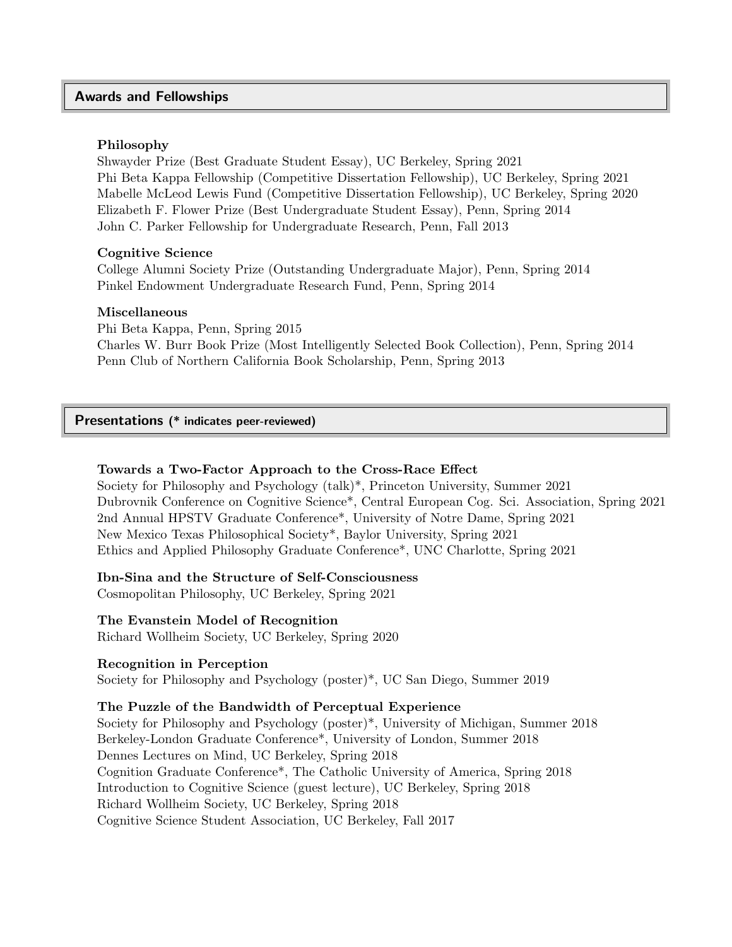#### Awards and Fellowships

#### Philosophy

Shwayder Prize (Best Graduate Student Essay), UC Berkeley, Spring 2021 Phi Beta Kappa Fellowship (Competitive Dissertation Fellowship), UC Berkeley, Spring 2021 Mabelle McLeod Lewis Fund (Competitive Dissertation Fellowship), UC Berkeley, Spring 2020 Elizabeth F. Flower Prize (Best Undergraduate Student Essay), Penn, Spring 2014 John C. Parker Fellowship for Undergraduate Research, Penn, Fall 2013

#### Cognitive Science

College Alumni Society Prize (Outstanding Undergraduate Major), Penn, Spring 2014 Pinkel Endowment Undergraduate Research Fund, Penn, Spring 2014

#### Miscellaneous

Phi Beta Kappa, Penn, Spring 2015 Charles W. Burr Book Prize (Most Intelligently Selected Book Collection), Penn, Spring 2014 Penn Club of Northern California Book Scholarship, Penn, Spring 2013

Presentations (\* indicates peer-reviewed)

### Towards a Two-Factor Approach to the Cross-Race Effect

Society for Philosophy and Psychology (talk)\*, Princeton University, Summer 2021 Dubrovnik Conference on Cognitive Science\*, Central European Cog. Sci. Association, Spring 2021 2nd Annual HPSTV Graduate Conference\*, University of Notre Dame, Spring 2021 New Mexico Texas Philosophical Society\*, Baylor University, Spring 2021 Ethics and Applied Philosophy Graduate Conference\*, UNC Charlotte, Spring 2021

Ibn-Sina and the Structure of Self-Consciousness

Cosmopolitan Philosophy, UC Berkeley, Spring 2021

#### The Evanstein Model of Recognition

Richard Wollheim Society, UC Berkeley, Spring 2020

#### Recognition in Perception

Society for Philosophy and Psychology (poster)\*, UC San Diego, Summer 2019

#### The Puzzle of the Bandwidth of Perceptual Experience

Society for Philosophy and Psychology (poster)\*, University of Michigan, Summer 2018 Berkeley-London Graduate Conference\*, University of London, Summer 2018 Dennes Lectures on Mind, UC Berkeley, Spring 2018 Cognition Graduate Conference\*, The Catholic University of America, Spring 2018 Introduction to Cognitive Science (guest lecture), UC Berkeley, Spring 2018 Richard Wollheim Society, UC Berkeley, Spring 2018 Cognitive Science Student Association, UC Berkeley, Fall 2017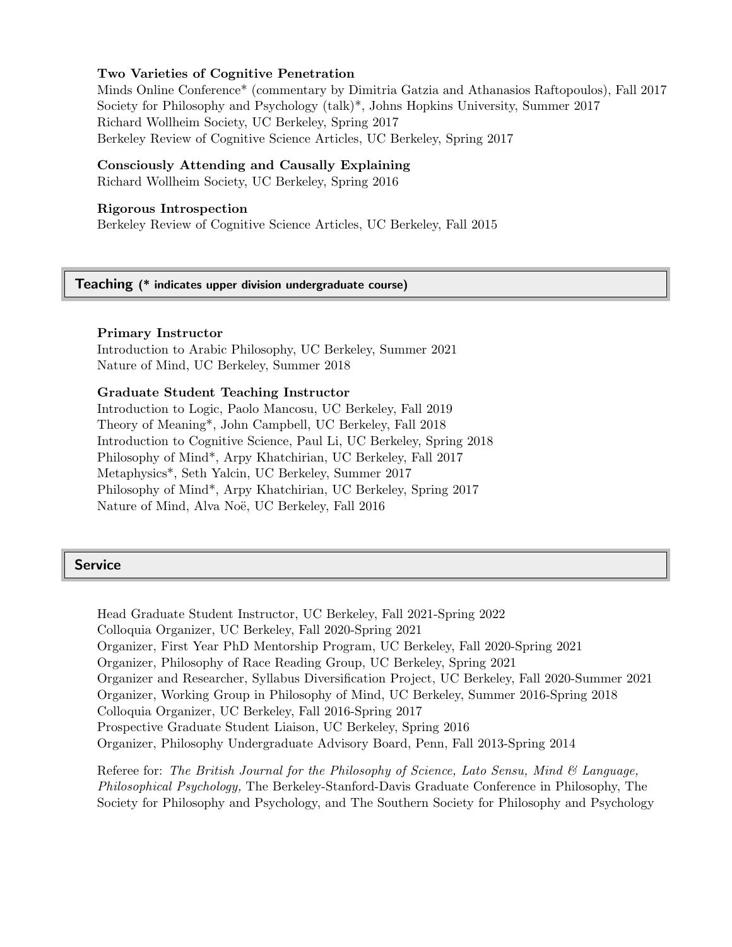#### Two Varieties of Cognitive Penetration

Minds Online Conference\* (commentary by Dimitria Gatzia and Athanasios Raftopoulos), Fall 2017 Society for Philosophy and Psychology (talk)\*, Johns Hopkins University, Summer 2017 Richard Wollheim Society, UC Berkeley, Spring 2017 Berkeley Review of Cognitive Science Articles, UC Berkeley, Spring 2017

#### Consciously Attending and Causally Explaining

Richard Wollheim Society, UC Berkeley, Spring 2016

#### Rigorous Introspection

Berkeley Review of Cognitive Science Articles, UC Berkeley, Fall 2015

Teaching (\* indicates upper division undergraduate course)

#### Primary Instructor

Introduction to Arabic Philosophy, UC Berkeley, Summer 2021 Nature of Mind, UC Berkeley, Summer 2018

#### Graduate Student Teaching Instructor

Introduction to Logic, Paolo Mancosu, UC Berkeley, Fall 2019 Theory of Meaning\*, John Campbell, UC Berkeley, Fall 2018 Introduction to Cognitive Science, Paul Li, UC Berkeley, Spring 2018 Philosophy of Mind\*, Arpy Khatchirian, UC Berkeley, Fall 2017 Metaphysics\*, Seth Yalcin, UC Berkeley, Summer 2017 Philosophy of Mind\*, Arpy Khatchirian, UC Berkeley, Spring 2017 Nature of Mind, Alva Noë, UC Berkeley, Fall 2016

#### **Service**

Head Graduate Student Instructor, UC Berkeley, Fall 2021-Spring 2022 Colloquia Organizer, UC Berkeley, Fall 2020-Spring 2021 Organizer, First Year PhD Mentorship Program, UC Berkeley, Fall 2020-Spring 2021 Organizer, Philosophy of Race Reading Group, UC Berkeley, Spring 2021 Organizer and Researcher, Syllabus Diversification Project, UC Berkeley, Fall 2020-Summer 2021 Organizer, Working Group in Philosophy of Mind, UC Berkeley, Summer 2016-Spring 2018 Colloquia Organizer, UC Berkeley, Fall 2016-Spring 2017 Prospective Graduate Student Liaison, UC Berkeley, Spring 2016 Organizer, Philosophy Undergraduate Advisory Board, Penn, Fall 2013-Spring 2014

Referee for: The British Journal for the Philosophy of Science, Lato Sensu, Mind  $\mathcal{C}_{\mathcal{A}}$  Language, Philosophical Psychology, The Berkeley-Stanford-Davis Graduate Conference in Philosophy, The Society for Philosophy and Psychology, and The Southern Society for Philosophy and Psychology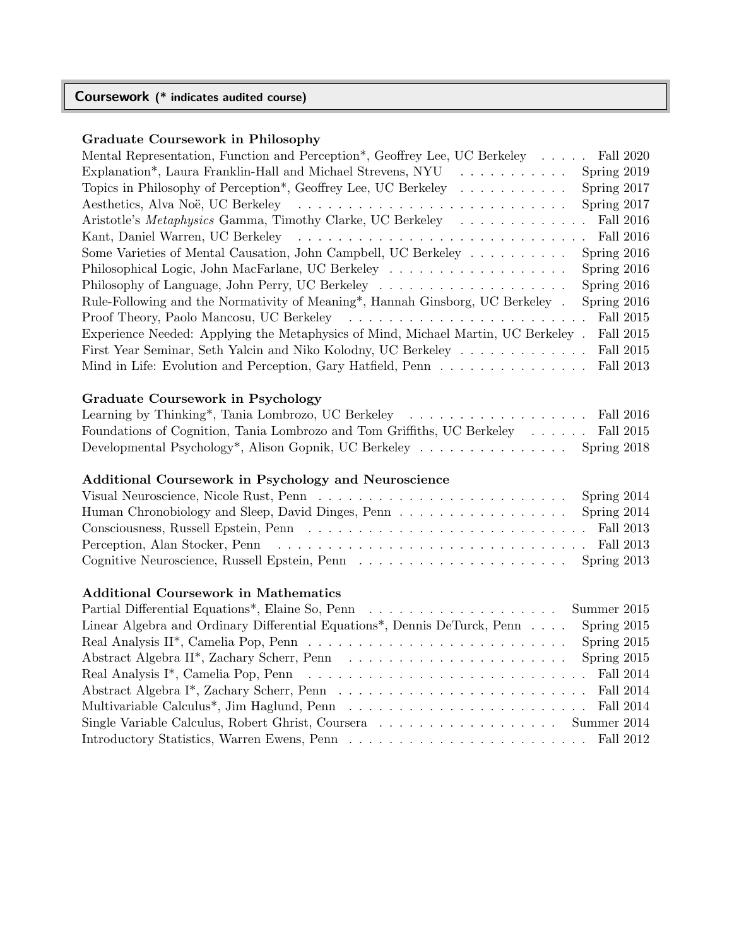## Coursework (\* indicates audited course)

## Graduate Coursework in Philosophy

| Mental Representation, Function and Perception*, Geoffrey Lee, UC Berkeley                                                                                   | Fall 2020     |
|--------------------------------------------------------------------------------------------------------------------------------------------------------------|---------------|
| Explanation*, Laura Franklin-Hall and Michael Strevens, NYU<br>$\mathcal{L}$ , and $\mathcal{L}$ , and $\mathcal{L}$ , and $\mathcal{L}$ , and $\mathcal{L}$ | Spring 2019   |
| Topics in Philosophy of Perception*, Geoffrey Lee, UC Berkeley                                                                                               | Spring 2017   |
|                                                                                                                                                              | Spring 2017   |
| Aristotle's Metaphysics Gamma, Timothy Clarke, UC Berkeley  Fall 2016                                                                                        |               |
|                                                                                                                                                              |               |
| Some Varieties of Mental Causation, John Campbell, UC Berkeley                                                                                               | Spring 2016   |
|                                                                                                                                                              | Spring 2016   |
|                                                                                                                                                              | Spring $2016$ |
| Rule-Following and the Normativity of Meaning*, Hannah Ginsborg, UC Berkeley.                                                                                | Spring 2016   |
|                                                                                                                                                              | Fall 2015     |
| Experience Needed: Applying the Metaphysics of Mind, Michael Martin, UC Berkeley.                                                                            | Fall 2015     |
| First Year Seminar, Seth Yalcin and Niko Kolodny, UC Berkeley                                                                                                | Fall 2015     |
| Mind in Life: Evolution and Perception, Gary Hatfield, Penn                                                                                                  | Fall 2013     |
|                                                                                                                                                              |               |

## Graduate Coursework in Psychology

|                                                                                    | Fall 2016   |
|------------------------------------------------------------------------------------|-------------|
| Foundations of Cognition, Tania Lombrozo and Tom Griffiths, UC Berkeley  Fall 2015 |             |
| Developmental Psychology <sup>*</sup> , Alison Gopnik, UC Berkeley                 | Spring 2018 |

## Additional Coursework in Psychology and Neuroscience

| Human Chronobiology and Sleep, David Dinges, Penn Spring 2014 |  |
|---------------------------------------------------------------|--|
|                                                               |  |
|                                                               |  |
|                                                               |  |

## Additional Coursework in Mathematics

| Linear Algebra and Ordinary Differential Equations <sup>*</sup> , Dennis DeTurck, Penn Spring 2015 |  |
|----------------------------------------------------------------------------------------------------|--|
|                                                                                                    |  |
|                                                                                                    |  |
|                                                                                                    |  |
|                                                                                                    |  |
|                                                                                                    |  |
|                                                                                                    |  |
|                                                                                                    |  |